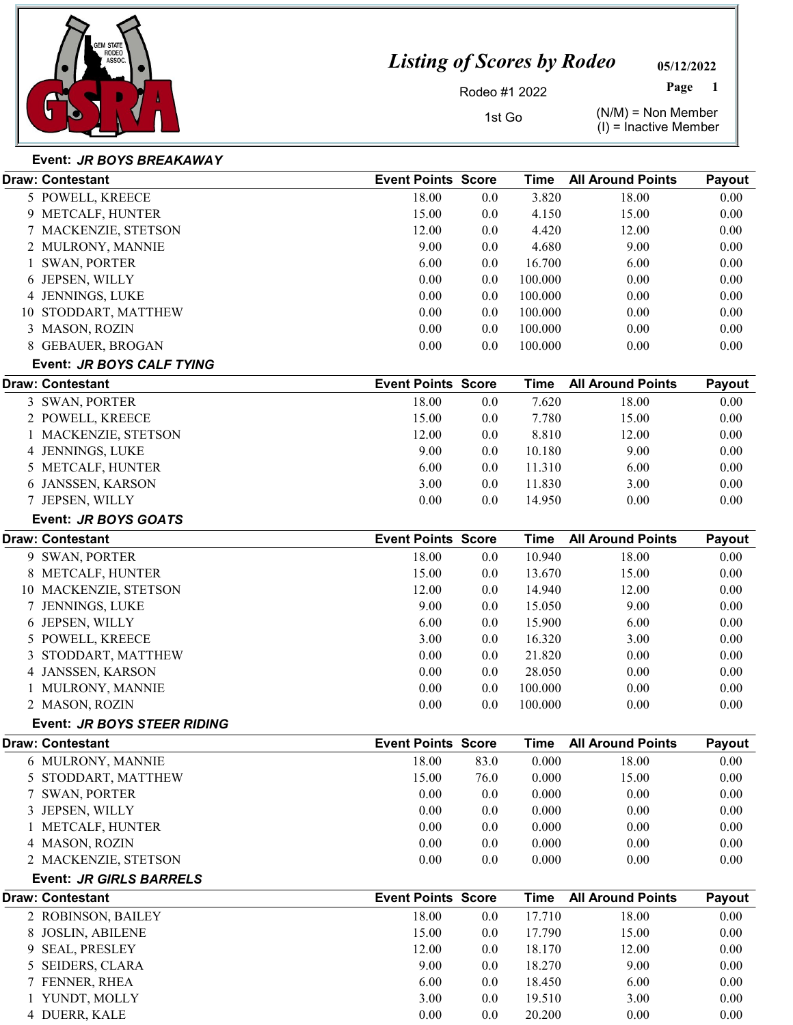

05/12/2022 Page

Rodeo #1 2022

1st Go  $(N/M) = N \text{ on Member}$  $(I)$  = Inactive Member

#### Event: JR BOYS BREAKAWAY

|   | Draw: Contestant               | <b>Event Points Score</b> |      | Time        | <b>All Around Points</b> | Payout        |
|---|--------------------------------|---------------------------|------|-------------|--------------------------|---------------|
|   | 5 POWELL, KREECE               | 18.00                     | 0.0  | 3.820       | 18.00                    | 0.00          |
|   | 9 METCALF, HUNTER              | 15.00                     | 0.0  | 4.150       | 15.00                    | 0.00          |
|   | 7 MACKENZIE, STETSON           | 12.00                     | 0.0  | 4.420       | 12.00                    | 0.00          |
|   | 2 MULRONY, MANNIE              | 9.00                      | 0.0  | 4.680       | 9.00                     | 0.00          |
|   | <b>SWAN, PORTER</b>            | 6.00                      | 0.0  | 16.700      | 6.00                     | 0.00          |
| 6 | JEPSEN, WILLY                  | 0.00                      | 0.0  | 100.000     | 0.00                     | 0.00          |
|   | 4 JENNINGS, LUKE               | 0.00                      | 0.0  | 100.000     | 0.00                     | 0.00          |
|   | 10 STODDART, MATTHEW           | 0.00                      | 0.0  | 100.000     | 0.00                     | 0.00          |
|   | 3 MASON, ROZIN                 | 0.00                      | 0.0  | 100.000     | 0.00                     | 0.00          |
|   | 8 GEBAUER, BROGAN              | 0.00                      | 0.0  | 100.000     | 0.00                     | 0.00          |
|   | Event: JR BOYS CALF TYING      |                           |      |             |                          |               |
|   | <b>Draw: Contestant</b>        | <b>Event Points Score</b> |      | <b>Time</b> | <b>All Around Points</b> | Payout        |
|   | 3 SWAN, PORTER                 | 18.00                     | 0.0  | 7.620       | 18.00                    | 0.00          |
|   | 2 POWELL, KREECE               | 15.00                     | 0.0  | 7.780       | 15.00                    | 0.00          |
|   | MACKENZIE, STETSON             | 12.00                     | 0.0  | 8.810       | 12.00                    | 0.00          |
|   | 4 JENNINGS, LUKE               | 9.00                      | 0.0  | 10.180      | 9.00                     | 0.00          |
|   | 5 METCALF, HUNTER              | 6.00                      | 0.0  | 11.310      | 6.00                     | 0.00          |
|   | 6 JANSSEN, KARSON              | 3.00                      | 0.0  | 11.830      | 3.00                     | 0.00          |
|   | 7 JEPSEN, WILLY                | 0.00                      | 0.0  | 14.950      | 0.00                     | 0.00          |
|   | Event: JR BOYS GOATS           |                           |      |             |                          |               |
|   | <b>Draw: Contestant</b>        | <b>Event Points Score</b> |      | <b>Time</b> | <b>All Around Points</b> | Payout        |
|   | 9 SWAN, PORTER                 | 18.00                     | 0.0  | 10.940      | 18.00                    | 0.00          |
|   | 8 METCALF, HUNTER              | 15.00                     | 0.0  | 13.670      | 15.00                    | 0.00          |
|   | 10 MACKENZIE, STETSON          | 12.00                     | 0.0  | 14.940      | 12.00                    | 0.00          |
|   | 7 JENNINGS, LUKE               | 9.00                      | 0.0  | 15.050      | 9.00                     | 0.00          |
|   | 6 JEPSEN, WILLY                | 6.00                      | 0.0  | 15.900      | 6.00                     | 0.00          |
|   | 5 POWELL, KREECE               | 3.00                      | 0.0  | 16.320      | 3.00                     | 0.00          |
| 3 | STODDART, MATTHEW              | 0.00                      | 0.0  | 21.820      | 0.00                     | 0.00          |
|   | 4 JANSSEN, KARSON              | 0.00                      | 0.0  | 28.050      | 0.00                     | 0.00          |
|   | 1 MULRONY, MANNIE              | 0.00                      | 0.0  | 100.000     | 0.00                     | 0.00          |
|   | 2 MASON, ROZIN                 | 0.00                      | 0.0  | 100.000     | 0.00                     | 0.00          |
|   | Event: JR BOYS STEER RIDING    |                           |      |             |                          |               |
|   | Draw: Contestant               | <b>Event Points Score</b> |      | <b>Time</b> | <b>All Around Points</b> | <b>Payout</b> |
|   | 6 MULRONY, MANNIE              | 18.00                     | 83.0 | 0.000       | 18.00                    | 0.00          |
|   | 5 STODDART, MATTHEW            | 15.00                     | 76.0 | 0.000       | 15.00                    | 0.00          |
| 7 | <b>SWAN, PORTER</b>            | 0.00                      | 0.0  | 0.000       | 0.00                     | 0.00          |
|   | 3 JEPSEN, WILLY                | 0.00                      | 0.0  | 0.000       | 0.00                     | 0.00          |
|   | METCALF, HUNTER                | 0.00                      | 0.0  | 0.000       | 0.00                     | 0.00          |
|   | 4 MASON, ROZIN                 | 0.00                      | 0.0  | 0.000       | 0.00                     | 0.00          |
|   | 2 MACKENZIE, STETSON           | 0.00                      | 0.0  | 0.000       | 0.00                     | 0.00          |
|   | <b>Event: JR GIRLS BARRELS</b> |                           |      |             |                          |               |
|   | <b>Draw: Contestant</b>        | <b>Event Points Score</b> |      | <b>Time</b> | <b>All Around Points</b> | Payout        |
|   | 2 ROBINSON, BAILEY             | 18.00                     | 0.0  | 17.710      | 18.00                    | 0.00          |
|   | 8 JOSLIN, ABILENE              | 15.00                     | 0.0  | 17.790      | 15.00                    | 0.00          |
| 9 | <b>SEAL, PRESLEY</b>           | 12.00                     | 0.0  | 18.170      | 12.00                    | 0.00          |
|   | 5 SEIDERS, CLARA               | 9.00                      | 0.0  | 18.270      | 9.00                     | 0.00          |
|   | 7 FENNER, RHEA                 | 6.00                      | 0.0  | 18.450      | 6.00                     | 0.00          |
|   | 1 YUNDT, MOLLY                 | 3.00                      | 0.0  | 19.510      | 3.00                     | 0.00          |
|   | 4 DUERR, KALE                  | 0.00                      | 0.0  | 20.200      | 0.00                     | 0.00          |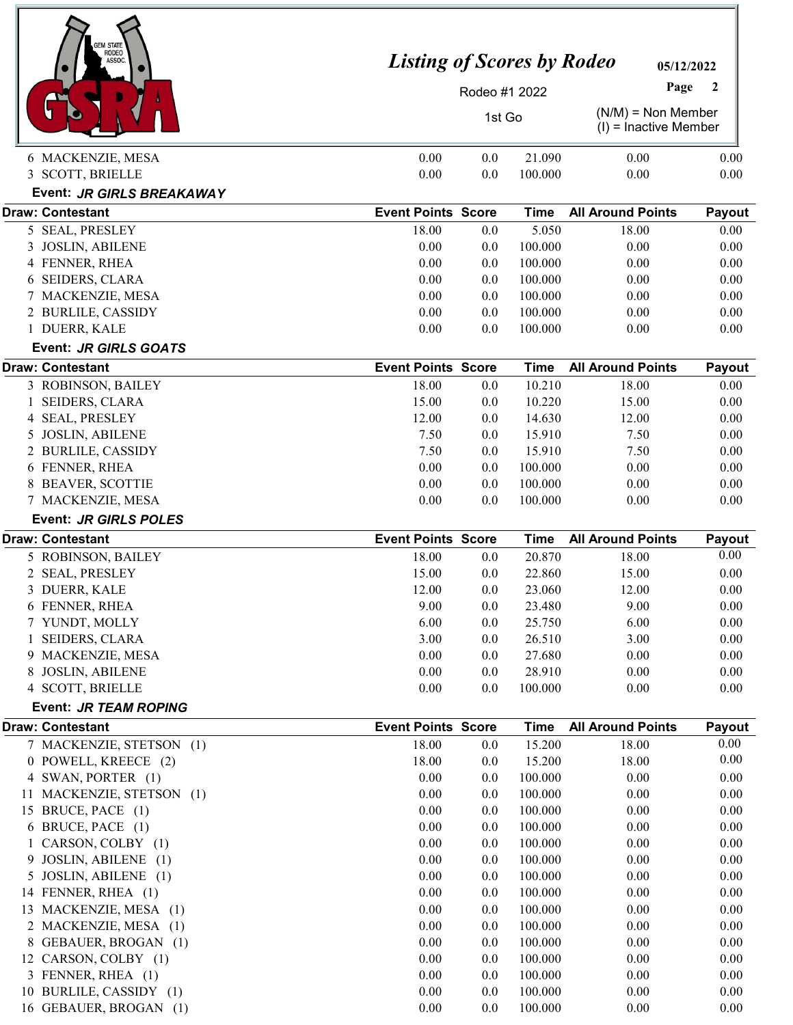| GEM STATE<br><b>RODEO</b><br>ASSOC.              | <b>Listing of Scores by Rodeo</b><br>05/12/2022 |               |                       |                                                 |                          |  |  |
|--------------------------------------------------|-------------------------------------------------|---------------|-----------------------|-------------------------------------------------|--------------------------|--|--|
|                                                  |                                                 | Rodeo #1 2022 |                       | Page                                            | $\overline{\phantom{a}}$ |  |  |
|                                                  |                                                 | 1st Go        |                       | $(N/M)$ = Non Member<br>$(I)$ = Inactive Member |                          |  |  |
| 6 MACKENZIE, MESA                                | 0.00                                            | 0.0           | 21.090                | 0.00                                            | 0.00                     |  |  |
| 3 SCOTT, BRIELLE                                 | 0.00                                            | 0.0           | 100.000               | 0.00                                            | 0.00                     |  |  |
| Event: JR GIRLS BREAKAWAY                        |                                                 |               |                       |                                                 |                          |  |  |
| <b>Draw: Contestant</b>                          | <b>Event Points Score</b>                       |               | Time                  | <b>All Around Points</b>                        | Payout                   |  |  |
| 5 SEAL, PRESLEY                                  | 18.00                                           | 0.0           | 5.050                 | 18.00                                           | 0.00                     |  |  |
| 3 JOSLIN, ABILENE                                | 0.00                                            | 0.0           | 100.000               | 0.00                                            | 0.00                     |  |  |
| 4 FENNER, RHEA                                   | 0.00                                            | 0.0           | 100.000               | 0.00                                            | 0.00                     |  |  |
| <b>SEIDERS, CLARA</b><br>6                       | 0.00                                            | 0.0           | 100.000               | 0.00                                            | 0.00                     |  |  |
| 7 MACKENZIE, MESA                                | 0.00                                            | 0.0           | 100.000               | 0.00                                            | 0.00                     |  |  |
| 2 BURLILE, CASSIDY                               | 0.00                                            | 0.0           | 100.000               | 0.00                                            | 0.00                     |  |  |
| 1 DUERR, KALE                                    | 0.00                                            | 0.0           | 100.000               | 0.00                                            | 0.00                     |  |  |
| Event: JR GIRLS GOATS                            |                                                 |               |                       |                                                 |                          |  |  |
| <b>Draw: Contestant</b>                          | <b>Event Points Score</b><br>18.00              | 0.0           | <b>Time</b><br>10.210 | <b>All Around Points</b><br>18.00               | Payout<br>0.00           |  |  |
| 3 ROBINSON, BAILEY<br>SEIDERS, CLARA             | 15.00                                           | 0.0           | 10.220                | 15.00                                           | 0.00                     |  |  |
| <b>SEAL, PRESLEY</b><br>4                        | 12.00                                           | 0.0           | 14.630                | 12.00                                           | 0.00                     |  |  |
| <b>JOSLIN, ABILENE</b><br>5                      | 7.50                                            | 0.0           | 15.910                | 7.50                                            | 0.00                     |  |  |
| 2 BURLILE, CASSIDY                               | 7.50                                            | 0.0           | 15.910                | 7.50                                            | 0.00                     |  |  |
| 6 FENNER, RHEA                                   | 0.00                                            | 0.0           | 100.000               | 0.00                                            | 0.00                     |  |  |
| <b>BEAVER, SCOTTIE</b><br>8                      | 0.00                                            | 0.0           | 100.000               | 0.00                                            | 0.00                     |  |  |
| 7 MACKENZIE, MESA                                | 0.00                                            | 0.0           | 100.000               | 0.00                                            | 0.00                     |  |  |
| Event: JR GIRLS POLES                            |                                                 |               |                       |                                                 |                          |  |  |
| <b>Draw: Contestant</b>                          | <b>Event Points Score</b>                       |               | <b>Time</b>           | <b>All Around Points</b>                        | Payout                   |  |  |
|                                                  |                                                 |               |                       |                                                 |                          |  |  |
| 5 ROBINSON, BAILEY                               | 18.00                                           | 0.0           | 20.870                | 18.00                                           | 0.00                     |  |  |
| 2 SEAL, PRESLEY                                  | 15.00                                           | 0.0           | 22.860                | 15.00                                           | 0.00                     |  |  |
| 3 DUERR, KALE                                    | 12.00                                           | 0.0           | 23.060                | 12.00                                           | 0.00                     |  |  |
| 6 FENNER, RHEA                                   | 9.00                                            | 0.0           | 23.480                | 9.00                                            | 0.00                     |  |  |
| 7 YUNDT, MOLLY                                   | 6.00                                            | 0.0           | 25.750                | 6.00                                            | 0.00                     |  |  |
| SEIDERS, CLARA<br>1                              | 3.00                                            | 0.0           | 26.510                | 3.00                                            | 0.00                     |  |  |
| 9 MACKENZIE, MESA                                | 0.00                                            | 0.0           | 27.680                | 0.00                                            | 0.00                     |  |  |
| 8 JOSLIN, ABILENE                                | 0.00                                            | 0.0           | 28.910                | 0.00                                            | 0.00                     |  |  |
| 4 SCOTT, BRIELLE                                 | 0.00                                            | 0.0           | 100.000               | 0.00                                            | 0.00                     |  |  |
| Event: JR TEAM ROPING<br><b>Draw: Contestant</b> | <b>Event Points Score</b>                       |               | <b>Time</b>           | <b>All Around Points</b>                        |                          |  |  |
| 7 MACKENZIE, STETSON (1)                         | 18.00                                           | 0.0           | 15.200                | 18.00                                           | Payout<br>0.00           |  |  |
| 0 POWELL, KREECE (2)                             | 18.00                                           | 0.0           | 15.200                | 18.00                                           | 0.00                     |  |  |
| 4 SWAN, PORTER (1)                               | 0.00                                            | 0.0           | 100.000               | 0.00                                            | 0.00                     |  |  |
| 11 MACKENZIE, STETSON (1)                        | 0.00                                            | 0.0           | 100.000               | 0.00                                            | 0.00                     |  |  |
| 15 BRUCE, PACE (1)                               | 0.00                                            | 0.0           | 100.000               | 0.00                                            | 0.00                     |  |  |
| 6 BRUCE, PACE (1)                                | 0.00                                            | 0.0           | 100.000               | 0.00                                            | 0.00                     |  |  |
| 1 CARSON, COLBY (1)                              | 0.00                                            | 0.0           | 100.000               | 0.00                                            | 0.00                     |  |  |
| 9 JOSLIN, ABILENE (1)                            | 0.00                                            | 0.0           | 100.000               | 0.00                                            | 0.00                     |  |  |
| 5 JOSLIN, ABILENE (1)                            | 0.00                                            | 0.0           | 100.000               | 0.00                                            | 0.00                     |  |  |
| 14 FENNER, RHEA (1)                              | 0.00                                            | 0.0           | 100.000               | 0.00                                            | 0.00                     |  |  |
| 13 MACKENZIE, MESA (1)                           | 0.00                                            | 0.0           | 100.000               | 0.00                                            | 0.00                     |  |  |
| 2 MACKENZIE, MESA (1)                            | 0.00                                            | 0.0           | 100.000               | 0.00                                            | 0.00                     |  |  |
| 8 GEBAUER, BROGAN (1)                            | 0.00                                            | 0.0           | 100.000               | 0.00                                            | 0.00                     |  |  |
| 12 CARSON, COLBY (1)                             | 0.00                                            | 0.0           | 100.000               | 0.00                                            | 0.00                     |  |  |
| 3 FENNER, RHEA (1)<br>10 BURLILE, CASSIDY (1)    | 0.00<br>0.00                                    | 0.0<br>0.0    | 100.000<br>100.000    | 0.00<br>0.00                                    | 0.00<br>0.00             |  |  |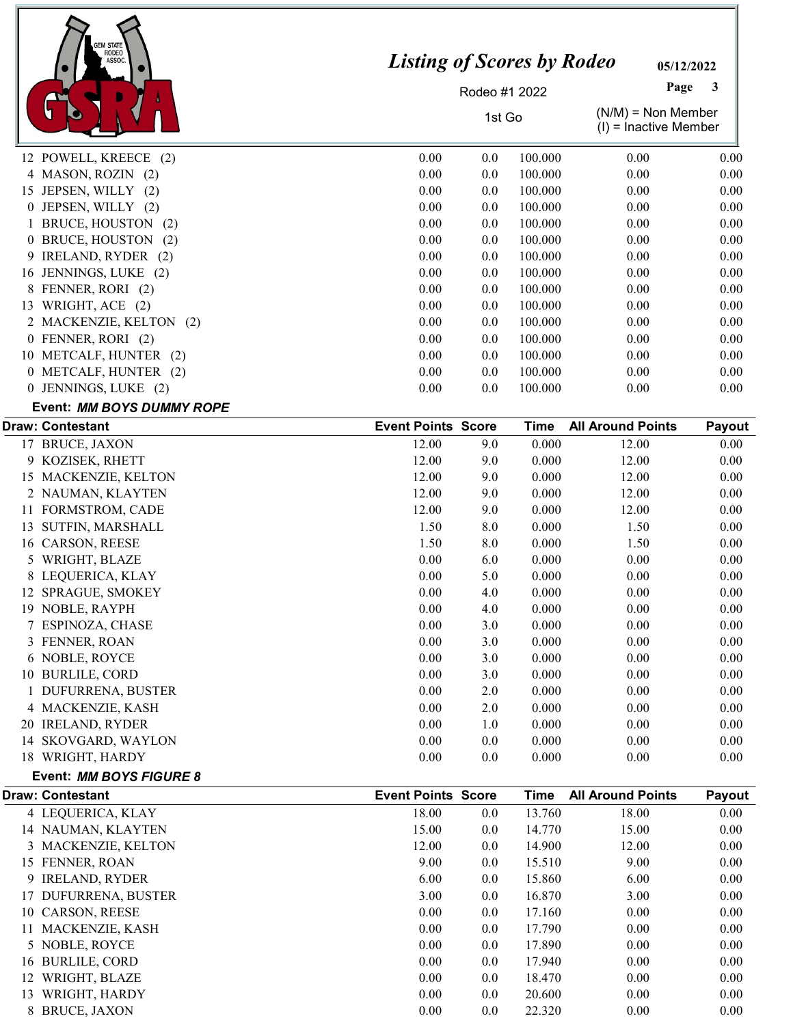

05/12/2022 Page

Rodeo #1 2022

1st Go  $(N/M) = N \text{on Member}$  $(1)$  = Inactive Member

|                           |      |         |         | $\sqrt{ }$ |      |
|---------------------------|------|---------|---------|------------|------|
| 12 POWELL, KREECE (2)     | 0.00 | 0.0     | 100.000 | 0.00       | 0.00 |
| 4 MASON, ROZIN (2)        | 0.00 | 0.0     | 100.000 | 0.00       | 0.00 |
| 15 JEPSEN, WILLY (2)      | 0.00 | 0.0     | 100.000 | 0.00       | 0.00 |
| 0 JEPSEN, WILLY (2)       | 0.00 | 0.0     | 100.000 | 0.00       | 0.00 |
| 1 BRUCE, HOUSTON (2)      | 0.00 | $0.0\,$ | 100.000 | 0.00       | 0.00 |
| 0 BRUCE, HOUSTON (2)      | 0.00 | 0.0     | 100.000 | 0.00       | 0.00 |
| 9 IRELAND, RYDER (2)      | 0.00 | 0.0     | 100.000 | 0.00       | 0.00 |
| 16 JENNINGS, LUKE (2)     | 0.00 | 0.0     | 100.000 | 0.00       | 0.00 |
| 8 FENNER, RORI (2)        | 0.00 | $0.0\,$ | 100.000 | 0.00       | 0.00 |
| 13 WRIGHT, ACE (2)        | 0.00 | 0.0     | 100.000 | 0.00       | 0.00 |
| 2 MACKENZIE, KELTON (2)   | 0.00 | 0.0     | 100.000 | 0.00       | 0.00 |
| 0 FENNER, RORI (2)        | 0.00 | 0.0     | 100.000 | 0.00       | 0.00 |
| 10 METCALF, HUNTER (2)    | 0.00 | $0.0\,$ | 100.000 | 0.00       | 0.00 |
| 0 METCALF, HUNTER (2)     | 0.00 | 0.0     | 100.000 | 0.00       | 0.00 |
| 0 JENNINGS, LUKE (2)      | 0.00 | 0.0     | 100.000 | 0.00       | 0.00 |
| Event: MM BOYS DUMMY ROPE |      |         |         |            |      |

|                            |                                                                                                                                                                                                                                                                |         | Time                      | <b>All Around Points</b> | Payout |
|----------------------------|----------------------------------------------------------------------------------------------------------------------------------------------------------------------------------------------------------------------------------------------------------------|---------|---------------------------|--------------------------|--------|
| <b>BRUCE, JAXON</b>        | 12.00                                                                                                                                                                                                                                                          | 9.0     | 0.000                     | 12.00                    | 0.00   |
|                            | 12.00                                                                                                                                                                                                                                                          | 9.0     | 0.000                     | 12.00                    | 0.00   |
|                            | 12.00                                                                                                                                                                                                                                                          | 9.0     | 0.000                     | 12.00                    | 0.00   |
|                            | 12.00                                                                                                                                                                                                                                                          | 9.0     | 0.000                     | 12.00                    | 0.00   |
|                            | 12.00                                                                                                                                                                                                                                                          | 9.0     | 0.000                     | 12.00                    | 0.00   |
| <b>SUTFIN, MARSHALL</b>    | 1.50                                                                                                                                                                                                                                                           | 8.0     | 0.000                     | 1.50                     | 0.00   |
| CARSON, REESE              | 1.50                                                                                                                                                                                                                                                           | 8.0     | 0.000                     | 1.50                     | 0.00   |
|                            | 0.00                                                                                                                                                                                                                                                           | 6.0     | 0.000                     | 0.00                     | 0.00   |
|                            | 0.00                                                                                                                                                                                                                                                           | 5.0     | 0.000                     | 0.00                     | 0.00   |
| SPRAGUE, SMOKEY            | 0.00                                                                                                                                                                                                                                                           | 4.0     | 0.000                     | 0.00                     | 0.00   |
| NOBLE, RAYPH               | 0.00                                                                                                                                                                                                                                                           | 4.0     | 0.000                     | 0.00                     | 0.00   |
|                            | 0.00                                                                                                                                                                                                                                                           | 3.0     | 0.000                     | 0.00                     | 0.00   |
|                            | 0.00                                                                                                                                                                                                                                                           | 3.0     | 0.000                     | 0.00                     | 0.00   |
|                            | 0.00                                                                                                                                                                                                                                                           | 3.0     | 0.000                     | 0.00                     | 0.00   |
| <b>BURLILE, CORD</b>       | 0.00                                                                                                                                                                                                                                                           | 3.0     | 0.000                     | 0.00                     | 0.00   |
|                            | 0.00                                                                                                                                                                                                                                                           | 2.0     | 0.000                     | 0.00                     | 0.00   |
|                            | 0.00                                                                                                                                                                                                                                                           | 2.0     | 0.000                     | 0.00                     | 0.00   |
| <b>IRELAND, RYDER</b>      | 0.00                                                                                                                                                                                                                                                           | 1.0     | 0.000                     | 0.00                     | 0.00   |
| SKOVGARD, WAYLON           | 0.00                                                                                                                                                                                                                                                           | 0.0     | 0.000                     | 0.00                     | 0.00   |
| WRIGHT, HARDY              | 0.00                                                                                                                                                                                                                                                           | $0.0\,$ | 0.000                     | 0.00                     | 0.00   |
| 17<br>16<br>12<br>10<br>14 | <b>Draw: Contestant</b><br>9 KOZISEK, RHETT<br>15 MACKENZIE, KELTON<br>2 NAUMAN, KLAYTEN<br><b>FORMSTROM, CADE</b><br>WRIGHT, BLAZE<br>5<br>LEQUERICA, KLAY<br>7 ESPINOZA, CHASE<br>3 FENNER, ROAN<br>6 NOBLE, ROYCE<br>DUFURRENA, BUSTER<br>4 MACKENZIE, KASH |         | <b>Event Points Score</b> |                          |        |

|  | Event: MM BOYS FIGURE 8 |  |
|--|-------------------------|--|
|  |                         |  |

|     | <b>Draw: Contestant</b> | <b>Event Points Score</b> |     | Time   | <b>All Around Points</b> | Payout |
|-----|-------------------------|---------------------------|-----|--------|--------------------------|--------|
|     | 4 LEQUERICA, KLAY       | 18.00                     | 0.0 | 13.760 | 18.00                    | 0.00   |
|     | 14 NAUMAN, KLAYTEN      | 15.00                     | 0.0 | 14.770 | 15.00                    | 0.00   |
|     | 3 MACKENZIE, KELTON     | 12.00                     | 0.0 | 14.900 | 12.00                    | 0.00   |
|     | 15 FENNER, ROAN         | 9.00                      | 0.0 | 15.510 | 9.00                     | 0.00   |
|     | 9 IRELAND, RYDER        | 6.00                      | 0.0 | 15.860 | 6.00                     | 0.00   |
|     | 17 DUFURRENA, BUSTER    | 3.00                      | 0.0 | 16.870 | 3.00                     | 0.00   |
|     | 10 CARSON, REESE        | 0.00                      | 0.0 | 17.160 | 0.00                     | 0.00   |
|     | MACKENZIE, KASH         | 0.00                      | 0.0 | 17.790 | 0.00                     | 0.00   |
|     | 5 NOBLE, ROYCE          | 0.00                      | 0.0 | 17.890 | 0.00                     | 0.00   |
| 16. | <b>BURLILE, CORD</b>    | 0.00                      | 0.0 | 17.940 | 0.00                     | 0.00   |
|     | WRIGHT, BLAZE           | 0.00                      | 0.0 | 18.470 | 0.00                     | 0.00   |
| 13  | WRIGHT, HARDY           | 0.00                      | 0.0 | 20.600 | 0.00                     | 0.00   |
|     | 8 BRUCE, JAXON          | 0.00                      | 0.0 | 22.320 | 0.00                     | 0.00   |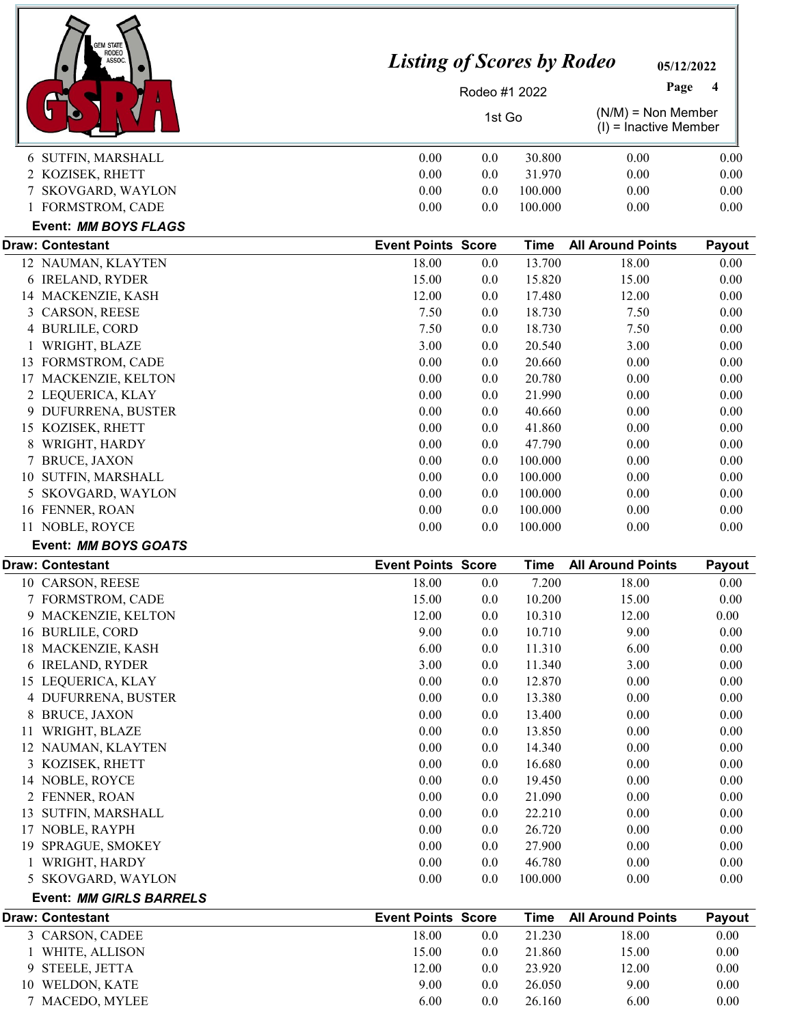|   | <b>EM STATE</b><br>RODEO<br>ASSOC. | <b>Listing of Scores by Rodeo</b> |               |             | 05/12/2022                                      |          |
|---|------------------------------------|-----------------------------------|---------------|-------------|-------------------------------------------------|----------|
|   |                                    |                                   |               |             | Page                                            | 4        |
|   |                                    |                                   | Rodeo #1 2022 |             |                                                 |          |
|   |                                    |                                   | 1st Go        |             | $(N/M)$ = Non Member<br>$(I)$ = Inactive Member |          |
|   | 6 SUTFIN, MARSHALL                 | 0.00                              | 0.0           | 30.800      | 0.00                                            | 0.00     |
|   | 2 KOZISEK, RHETT                   | 0.00                              | 0.0           | 31.970      | 0.00                                            | 0.00     |
|   | 7 SKOVGARD, WAYLON                 | 0.00                              | 0.0           | 100.000     | 0.00                                            | 0.00     |
|   | 1 FORMSTROM, CADE                  | 0.00                              | 0.0           | 100.000     | 0.00                                            | 0.00     |
|   | Event: MM BOYS FLAGS               |                                   |               |             |                                                 |          |
|   | <b>Draw: Contestant</b>            | <b>Event Points Score</b>         |               | <b>Time</b> | <b>All Around Points</b>                        | Payout   |
|   | 12 NAUMAN, KLAYTEN                 | 18.00                             | 0.0           | 13.700      | 18.00                                           | 0.00     |
|   | 6 IRELAND, RYDER                   | 15.00                             | 0.0           | 15.820      | 15.00                                           | 0.00     |
|   | 14 MACKENZIE, KASH                 | 12.00                             | 0.0           | 17.480      | 12.00                                           | 0.00     |
| 3 | CARSON, REESE                      | 7.50                              | 0.0           | 18.730      | 7.50                                            | 0.00     |
| 4 | <b>BURLILE, CORD</b>               | 7.50                              | 0.0           | 18.730      | 7.50                                            | 0.00     |
|   | WRIGHT, BLAZE                      | 3.00                              | 0.0           | 20.540      | 3.00                                            | 0.00     |
|   | 13 FORMSTROM, CADE                 | 0.00                              | 0.0           | 20.660      | 0.00                                            | 0.00     |
|   | 17 MACKENZIE, KELTON               | 0.00                              | 0.0           | 20.780      | 0.00                                            | 0.00     |
|   | 2 LEQUERICA, KLAY                  | 0.00                              | 0.0           | 21.990      | 0.00                                            | 0.00     |
|   | 9 DUFURRENA, BUSTER                | 0.00                              | 0.0           | 40.660      | 0.00                                            | 0.00     |
|   | 15 KOZISEK, RHETT                  | 0.00                              | 0.0           | 41.860      | 0.00                                            | 0.00     |
| 8 | WRIGHT, HARDY                      | 0.00                              | 0.0           | 47.790      | 0.00                                            | 0.00     |
|   | 7 BRUCE, JAXON                     | 0.00                              | 0.0           | 100.000     | 0.00                                            | 0.00     |
|   | 10 SUTFIN, MARSHALL                | 0.00                              | 0.0           | 100.000     | 0.00                                            | 0.00     |
|   | 5 SKOVGARD, WAYLON                 | 0.00                              | 0.0           | 100.000     | 0.00                                            | 0.00     |
|   | 16 FENNER, ROAN                    | 0.00                              | 0.0           | 100.000     | 0.00                                            | 0.00     |
|   | 11 NOBLE, ROYCE                    | 0.00                              | 0.0           | 100.000     | 0.00                                            | 0.00     |
|   | Event: MM BOYS GOATS               |                                   |               |             |                                                 |          |
|   | Draw: Contestant                   | <b>Event Points Score</b>         |               | <b>Time</b> | <b>All Around Points</b>                        | Payout   |
|   | 10 CARSON, REESE                   | 18.00                             | 0.0           | 7.200       | 18.00                                           | $0.00\,$ |
|   | 7 FORMSTROM, CADE                  | 15.00                             | 0.0           | 10.200      | 15.00                                           | 0.00     |
|   | 9 MACKENZIE, KELTON                | 12.00                             | 0.0           | 10.310      | 12.00                                           | 0.00     |
|   | 16 BURLILE, CORD                   | 9.00                              | 0.0           | 10.710      | 9.00                                            | 0.00     |
|   | 18 MACKENZIE, KASH                 | 6.00                              | 0.0           | 11.310      | 6.00                                            | 0.00     |
|   | 6 IRELAND, RYDER                   | 3.00                              | 0.0           | 11.340      | 3.00                                            | 0.00     |
|   | 15 LEQUERICA, KLAY                 | 0.00                              | 0.0           | 12.870      | 0.00                                            | 0.00     |
|   | 4 DUFURRENA, BUSTER                | 0.00                              | 0.0           | 13.380      | 0.00                                            | 0.00     |
|   | 8 BRUCE, JAXON                     | 0.00                              | 0.0           | 13.400      | 0.00                                            | 0.00     |
|   | 11 WRIGHT, BLAZE                   | 0.00                              | 0.0           | 13.850      | 0.00                                            | 0.00     |
|   | 12 NAUMAN, KLAYTEN                 | 0.00                              | 0.0           | 14.340      | 0.00                                            | 0.00     |
|   | 3 KOZISEK, RHETT                   | 0.00                              | 0.0           | 16.680      | 0.00                                            | 0.00     |
|   | 14 NOBLE, ROYCE                    | 0.00                              | $0.0\,$       | 19.450      | 0.00                                            | 0.00     |
|   | 2 FENNER, ROAN                     | 0.00                              | 0.0           | 21.090      | 0.00                                            | 0.00     |
|   | 13 SUTFIN, MARSHALL                | 0.00                              | 0.0           | 22.210      | 0.00                                            | 0.00     |
|   | 17 NOBLE, RAYPH                    | 0.00                              | 0.0           | 26.720      | 0.00                                            | 0.00     |
|   | 19 SPRAGUE, SMOKEY                 | 0.00                              | 0.0           | 27.900      | 0.00                                            | 0.00     |
|   | 1 WRIGHT, HARDY                    | 0.00                              | 0.0           | 46.780      | 0.00                                            | 0.00     |
|   | 5 SKOVGARD, WAYLON                 | 0.00                              | 0.0           | 100.000     | 0.00                                            | 0.00     |
|   | <b>Event: MM GIRLS BARRELS</b>     |                                   |               |             |                                                 |          |
|   | <b>Draw: Contestant</b>            | <b>Event Points Score</b>         |               | <b>Time</b> | <b>All Around Points</b>                        | Payout   |
|   | 3 CARSON, CADEE                    | 18.00                             | 0.0           | 21.230      | 18.00                                           | 0.00     |
|   | 1 WHITE, ALLISON                   | 15.00                             | $0.0\,$       | 21.860      | 15.00                                           | 0.00     |
|   | 9 STEELE, JETTA                    | 12.00                             | 0.0           | 23.920      | 12.00                                           | 0.00     |
|   | 10 WELDON, KATE                    | 9.00                              | 0.0           | 26.050      | 9.00                                            | 0.00     |

7 MACEDO, MYLEE 6.00 0.0 26.160 6.00 0.00 0.00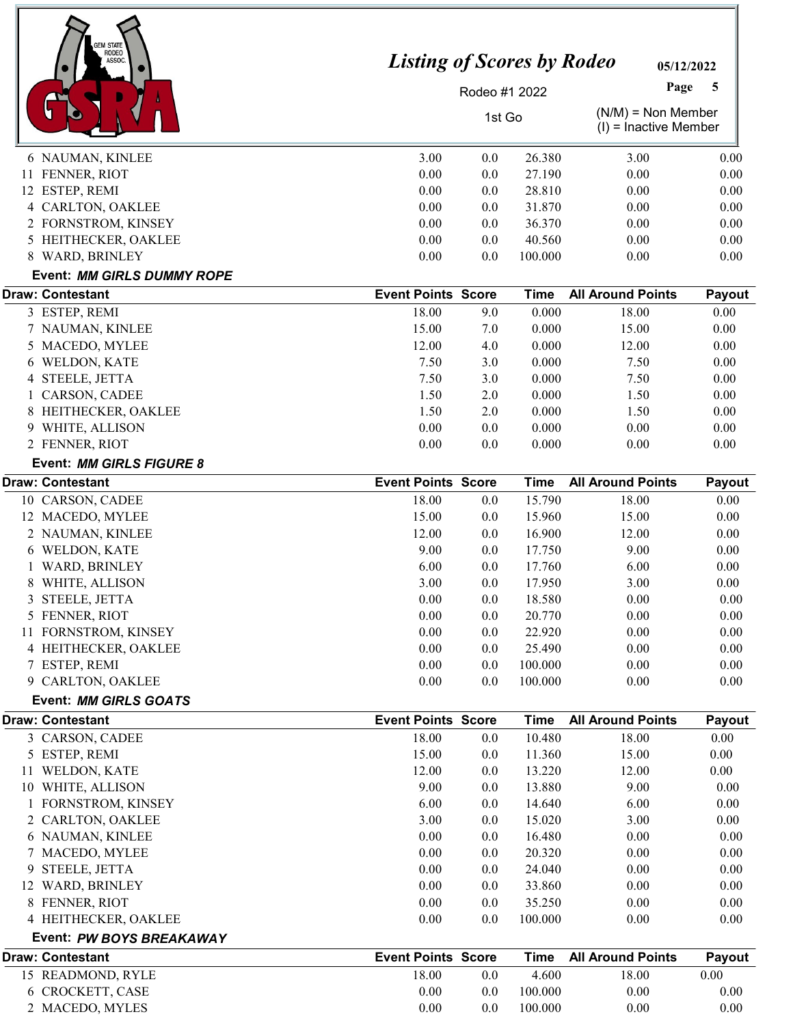| <b>EM STATE</b>                        |                                   |               |                  |                                                 |                  |
|----------------------------------------|-----------------------------------|---------------|------------------|-------------------------------------------------|------------------|
| RODEO<br>ASSOC.                        | <b>Listing of Scores by Rodeo</b> |               |                  | 05/12/2022                                      |                  |
|                                        |                                   | Rodeo #1 2022 |                  | Page                                            | 5                |
|                                        |                                   | 1st Go        |                  | $(N/M)$ = Non Member<br>$(I)$ = Inactive Member |                  |
| 6 NAUMAN, KINLEE                       | 3.00                              | 0.0           | 26.380           | 3.00                                            | 0.00             |
| 11 FENNER, RIOT                        | 0.00                              | 0.0           | 27.190           | 0.00                                            | 0.00             |
| 12 ESTEP, REMI                         | 0.00                              | 0.0           | 28.810           | 0.00                                            | 0.00             |
| 4 CARLTON, OAKLEE                      | 0.00                              | 0.0           | 31.870           | 0.00                                            | 0.00             |
| 2 FORNSTROM, KINSEY                    | 0.00                              | 0.0           | 36.370           | 0.00                                            | 0.00             |
| 5 HEITHECKER, OAKLEE                   | 0.00                              | 0.0           | 40.560           | 0.00                                            | 0.00             |
| 8 WARD, BRINLEY                        | 0.00                              | 0.0           | 100.000          | 0.00                                            | 0.00             |
| Event: MM GIRLS DUMMY ROPE             |                                   |               |                  |                                                 |                  |
| <b>Draw: Contestant</b>                | <b>Event Points Score</b>         |               | <b>Time</b>      | <b>All Around Points</b>                        | Payout           |
| 3 ESTEP, REMI                          | 18.00                             | 9.0           | 0.000            | 18.00                                           | 0.00             |
| 7 NAUMAN, KINLEE                       | 15.00                             | 7.0           | 0.000            | 15.00                                           | 0.00             |
| 5 MACEDO, MYLEE                        | 12.00                             | 4.0           | 0.000            | 12.00                                           | 0.00             |
| WELDON, KATE<br>6                      | 7.50                              | 3.0           | 0.000            | 7.50                                            | 0.00             |
| STEELE, JETTA<br>4                     | 7.50                              | 3.0           | 0.000            | 7.50                                            | 0.00             |
| CARSON, CADEE                          | 1.50                              | 2.0           | 0.000            | 1.50                                            | 0.00             |
| HEITHECKER, OAKLEE<br>8                | 1.50                              | 2.0           | 0.000            | 1.50                                            | 0.00             |
| WHITE, ALLISON<br>9                    | 0.00                              | 0.0           | 0.000            | 0.00                                            | 0.00             |
| 2 FENNER, RIOT                         | 0.00                              | 0.0           | 0.000            | 0.00                                            | 0.00             |
| Event: MM GIRLS FIGURE 8               |                                   |               |                  |                                                 |                  |
| <b>Draw: Contestant</b>                | <b>Event Points Score</b>         |               | <b>Time</b>      | <b>All Around Points</b>                        | Payout           |
| 10 CARSON, CADEE                       | 18.00                             | 0.0           | 15.790           | 18.00                                           | 0.00             |
| 12 MACEDO, MYLEE                       | 15.00                             | 0.0           | 15.960           | 15.00                                           | 0.00             |
| 2 NAUMAN, KINLEE                       | 12.00<br>9.00                     | 0.0           | 16.900<br>17.750 | 12.00                                           | 0.00<br>0.00     |
| 6 WELDON, KATE<br><b>WARD, BRINLEY</b> | 6.00                              | 0.0           | 17.760           | 9.00<br>6.00                                    |                  |
|                                        | 3.00                              | 0.0<br>0.0    |                  | 3.00                                            | 0.00<br>$0.00\,$ |
| 8 WHITE, ALLISON                       | 0.00                              |               | 17.950           |                                                 | 0.00             |
| STEELE, JETTA<br>3<br>5 FENNER, RIOT   | 0.00                              | 0.0           | 18.580<br>20.770 | 0.00<br>0.00                                    | 0.00             |
| 11 FORNSTROM, KINSEY                   | 0.00                              | 0.0<br>0.0    | 22.920           | 0.00                                            | 0.00             |
| 4 HEITHECKER, OAKLEE                   | 0.00                              | 0.0           | 25.490           | 0.00                                            | 0.00             |
| 7 ESTEP, REMI                          | 0.00                              | 0.0           | 100.000          | 0.00                                            | 0.00             |
| 9 CARLTON, OAKLEE                      | 0.00                              | 0.0           | 100.000          | 0.00                                            | 0.00             |
| Event: MM GIRLS GOATS                  |                                   |               |                  |                                                 |                  |
| <b>Draw: Contestant</b>                | <b>Event Points Score</b>         |               | <b>Time</b>      | <b>All Around Points</b>                        | Payout           |
| 3 CARSON, CADEE                        | 18.00                             | 0.0           | 10.480           | 18.00                                           | 0.00             |
| 5 ESTEP, REMI                          | 15.00                             | 0.0           | 11.360           | 15.00                                           | 0.00             |
| 11 WELDON, KATE                        | 12.00                             | 0.0           | 13.220           | 12.00                                           | 0.00             |
| 10 WHITE, ALLISON                      | 9.00                              | 0.0           | 13.880           | 9.00                                            | 0.00             |
| 1 FORNSTROM, KINSEY                    | 6.00                              | 0.0           | 14.640           | 6.00                                            | 0.00             |
| 2 CARLTON, OAKLEE                      | 3.00                              | 0.0           | 15.020           | 3.00                                            | 0.00             |
| 6 NAUMAN, KINLEE                       | 0.00                              | 0.0           | 16.480           | 0.00                                            | 0.00             |
| 7 MACEDO, MYLEE                        | 0.00                              | 0.0           | 20.320           | 0.00                                            | 0.00             |
| 9 STEELE, JETTA                        | 0.00                              | 0.0           | 24.040           | 0.00                                            | 0.00             |
| 12 WARD, BRINLEY                       | 0.00                              | 0.0           | 33.860           | 0.00                                            | 0.00             |
| 8 FENNER, RIOT                         | 0.00                              | 0.0           | 35.250           | 0.00                                            | 0.00             |
| 4 HEITHECKER, OAKLEE                   | 0.00                              | 0.0           | 100.000          | 0.00                                            | 0.00             |
| Event: PW BOYS BREAKAWAY               |                                   |               |                  |                                                 |                  |
| <b>Draw: Contestant</b>                | <b>Event Points Score</b>         |               | <b>Time</b>      | <b>All Around Points</b>                        | Payout           |
| 15 READMOND, RYLE                      | 18.00                             | 0.0           | 4.600            | 18.00                                           | 0.00             |
| 6 CROCKETT, CASE                       | 0.00                              | 0.0           | 100.000          | 0.00                                            | 0.00             |
| 2 MACEDO, MYLES                        | 0.00                              | 0.0           | 100.000          | 0.00                                            | 0.00             |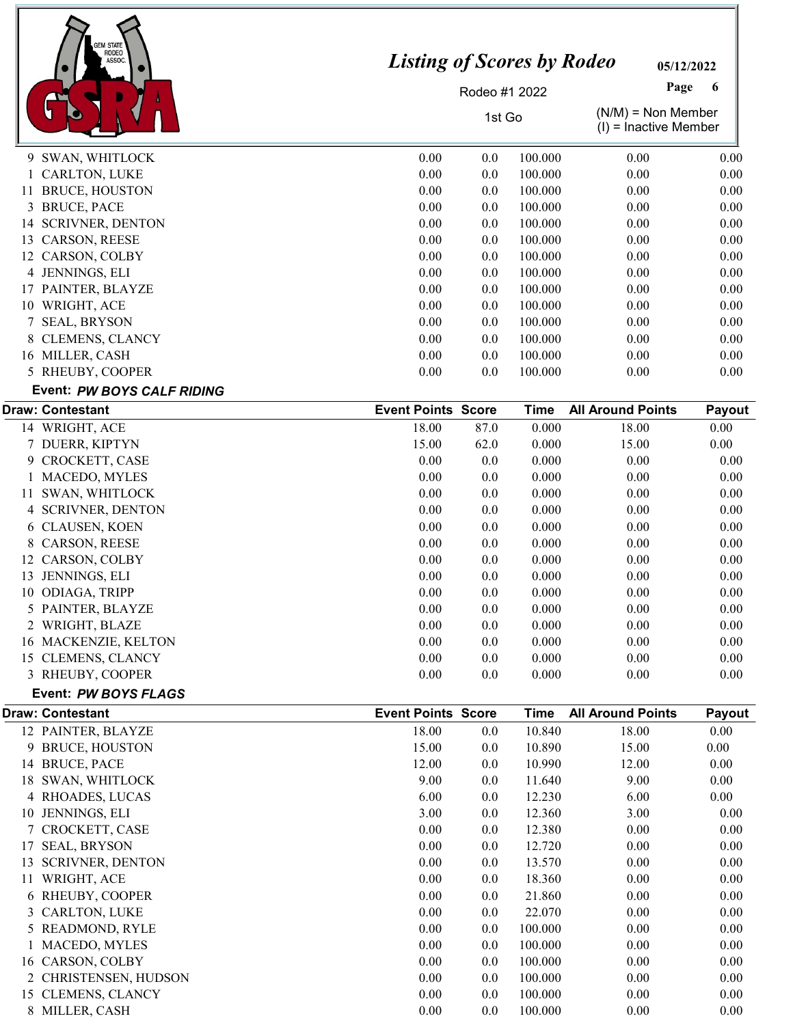

05/12/2022

Page 6

Rodeo #1 2022

1st Go  $(N/M) = N \text{on Member}$ 

|                       |                                                                                                                                                                                                                                               | טט וטו |         | $(I)$ = Inactive Member |          |
|-----------------------|-----------------------------------------------------------------------------------------------------------------------------------------------------------------------------------------------------------------------------------------------|--------|---------|-------------------------|----------|
|                       | 0.00                                                                                                                                                                                                                                          | 0.0    | 100.000 | 0.00                    | 0.00     |
|                       | 0.00                                                                                                                                                                                                                                          | 0.0    | 100.000 | 0.00                    | 0.00     |
| <b>BRUCE, HOUSTON</b> | 0.00                                                                                                                                                                                                                                          | 0.0    | 100.000 | 0.00                    | 0.00     |
|                       | 0.00                                                                                                                                                                                                                                          | 0.0    | 100.000 | 0.00                    | 0.00     |
|                       | 0.00                                                                                                                                                                                                                                          | 0.0    | 100.000 | 0.00                    | 0.00     |
|                       | 0.00                                                                                                                                                                                                                                          | 0.0    | 100.000 | 0.00                    | 0.00     |
|                       | 0.00                                                                                                                                                                                                                                          | 0.0    | 100.000 | 0.00                    | $0.00\,$ |
|                       | 0.00                                                                                                                                                                                                                                          | 0.0    | 100.000 | 0.00                    | 0.00     |
|                       | 0.00                                                                                                                                                                                                                                          | 0.0    | 100.000 | 0.00                    | 0.00     |
|                       | 0.00                                                                                                                                                                                                                                          | 0.0    | 100.000 | 0.00                    | 0.00     |
| <b>SEAL, BRYSON</b>   | 0.00                                                                                                                                                                                                                                          | 0.0    | 100.000 | 0.00                    | 0.00     |
|                       | 0.00                                                                                                                                                                                                                                          | 0.0    | 100.000 | 0.00                    | 0.00     |
|                       | 0.00                                                                                                                                                                                                                                          | 0.0    | 100.000 | 0.00                    | $0.00\,$ |
| RHEUBY, COOPER        | 0.00                                                                                                                                                                                                                                          | 0.0    | 100.000 | 0.00                    | 0.00     |
|                       | 9 SWAN, WHITLOCK<br>1 CARLTON, LUKE<br>11<br>3 BRUCE, PACE<br>14 SCRIVNER, DENTON<br>13 CARSON, REESE<br>12 CARSON, COLBY<br>4 JENNINGS, ELI<br>17 PAINTER, BLAYZE<br>10 WRIGHT, ACE<br>8 CLEMENS, CLANCY<br>16 MILLER, CASH<br>$\mathcal{L}$ |        |         |                         |          |

#### Event: PW BOYS CALF RIDING

|    | <b>Draw: Contestant</b> | <b>Event Points Score</b> |      | Time   | <b>All Around Points</b> | <b>Payout</b> |
|----|-------------------------|---------------------------|------|--------|--------------------------|---------------|
|    | 14 WRIGHT, ACE          | 18.00                     | 87.0 | 0.000  | 18.00                    | 0.00          |
|    | 7 DUERR, KIPTYN         | 15.00                     | 62.0 | 0.000  | 15.00                    | 0.00          |
|    | 9 CROCKETT, CASE        | 0.00                      | 0.0  | 0.000  | 0.00                     | 0.00          |
|    | <b>MACEDO, MYLES</b>    | 0.00                      | 0.0  | 0.000  | 0.00                     | 0.00          |
| 11 | SWAN, WHITLOCK          | 0.00                      | 0.0  | 0.000  | 0.00                     | 0.00          |
|    | 4 SCRIVNER, DENTON      | 0.00                      | 0.0  | 0.000  | 0.00                     | 0.00          |
|    | 6 CLAUSEN, KOEN         | 0.00                      | 0.0  | 0.000  | 0.00                     | 0.00          |
|    | 8 CARSON, REESE         | 0.00                      | 0.0  | 0.000  | 0.00                     | 0.00          |
| 12 | CARSON, COLBY           | 0.00                      | 0.0  | 0.000  | 0.00                     | 0.00          |
| 13 | JENNINGS, ELI           | 0.00                      | 0.0  | 0.000  | 0.00                     | 0.00          |
| 10 | ODIAGA, TRIPP           | 0.00                      | 0.0  | 0.000  | 0.00                     | 0.00          |
|    | 5 PAINTER, BLAYZE       | 0.00                      | 0.0  | 0.000  | 0.00                     | 0.00          |
|    | WRIGHT, BLAZE           | 0.00                      | 0.0  | 0.000  | 0.00                     | 0.00          |
| 16 | MACKENZIE, KELTON       | 0.00                      | 0.0  | 0.000  | 0.00                     | 0.00          |
| 15 | <b>CLEMENS, CLANCY</b>  | 0.00                      | 0.0  | 0.000  | 0.00                     | 0.00          |
|    | 3 RHEUBY, COOPER        | 0.00                      | 0.0  | 0.000  | 0.00                     | 0.00          |
|    | Event: PW BOYS FLAGS    |                           |      |        |                          |               |
|    | <b>Draw: Contestant</b> | <b>Event Points Score</b> |      | Time   | <b>All Around Points</b> | Payout        |
|    | 12 PAINTER, BLAYZE      | 18.00                     | 0.0  | 10.840 | 18.00                    | 0.00          |

| 12 PAINTER, BLAYZE            | 18.00 | $0.0\,$ | 10.840  | 18.00 | 0.00 |
|-------------------------------|-------|---------|---------|-------|------|
| <b>BRUCE, HOUSTON</b><br>9.   | 15.00 | 0.0     | 10.890  | 15.00 | 0.00 |
| <b>BRUCE, PACE</b><br>14      | 12.00 | 0.0     | 10.990  | 12.00 | 0.00 |
| SWAN, WHITLOCK<br>18          | 9.00  | 0.0     | 11.640  | 9.00  | 0.00 |
| 4 RHOADES, LUCAS              | 6.00  | 0.0     | 12.230  | 6.00  | 0.00 |
| 10 JENNINGS, ELI              | 3.00  | 0.0     | 12.360  | 3.00  | 0.00 |
| 7 CROCKETT, CASE              | 0.00  | 0.0     | 12.380  | 0.00  | 0.00 |
| <b>SEAL, BRYSON</b><br>17     | 0.00  | 0.0     | 12.720  | 0.00  | 0.00 |
| <b>SCRIVNER, DENTON</b><br>13 | 0.00  | 0.0     | 13.570  | 0.00  | 0.00 |
| WRIGHT, ACE<br>11             | 0.00  | 0.0     | 18.360  | 0.00  | 0.00 |
| 6 RHEUBY, COOPER              | 0.00  | 0.0     | 21.860  | 0.00  | 0.00 |
| 3 CARLTON, LUKE               | 0.00  | 0.0     | 22.070  | 0.00  | 0.00 |
| 5 READMOND, RYLE              | 0.00  | 0.0     | 100.000 | 0.00  | 0.00 |
| 1 MACEDO, MYLES               | 0.00  | $0.0\,$ | 100.000 | 0.00  | 0.00 |
| 16 CARSON, COLBY              | 0.00  | $0.0\,$ | 100.000 | 0.00  | 0.00 |
| 2 CHRISTENSEN, HUDSON         | 0.00  | $0.0\,$ | 100.000 | 0.00  | 0.00 |
| <b>CLEMENS, CLANCY</b><br>15  | 0.00  | $0.0\,$ | 100.000 | 0.00  | 0.00 |
| MILLER, CASH                  | 0.00  | 0.0     | 100.000 | 0.00  | 0.00 |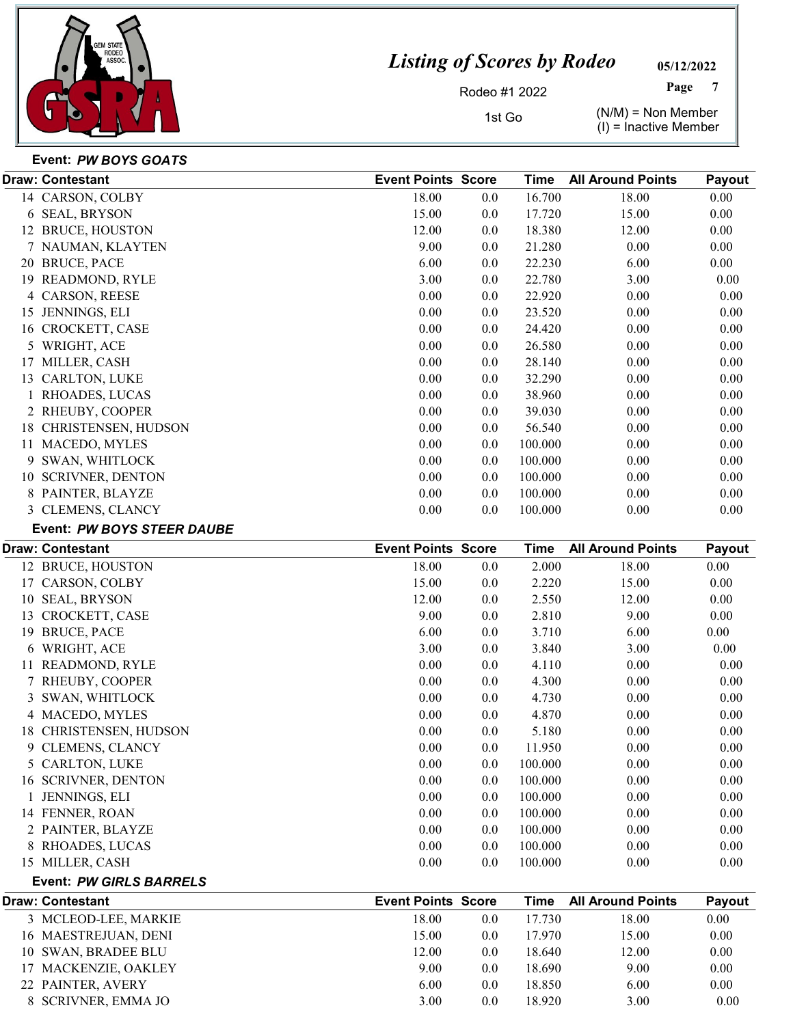

05/12/2022 Page

Rodeo #1 2022

1st Go  $(N/M) = N \text{ on Member}$  $(I)$  = Inactive Member

| Event: PW BOYS GOATS |  |
|----------------------|--|

| <b>Draw: Contestant</b>               | <b>Event Points Score</b> |            | Time           | <b>All Around Points</b> | Payout       |
|---------------------------------------|---------------------------|------------|----------------|--------------------------|--------------|
| 14 CARSON, COLBY                      | 18.00                     | 0.0        | 16.700         | 18.00                    | $0.00\,$     |
| 6 SEAL, BRYSON                        | 15.00                     | 0.0        | 17.720         | 15.00                    | 0.00         |
| 12 BRUCE, HOUSTON                     | 12.00                     | 0.0        | 18.380         | 12.00                    | 0.00         |
| 7 NAUMAN, KLAYTEN                     | 9.00                      | 0.0        | 21.280         | 0.00                     | 0.00         |
| 20 BRUCE, PACE                        | 6.00                      | 0.0        | 22.230         | 6.00                     | 0.00         |
| 19 READMOND, RYLE                     | 3.00                      | 0.0        | 22.780         | 3.00                     | 0.00         |
| 4 CARSON, REESE                       | 0.00                      | 0.0        | 22.920         | 0.00                     | 0.00         |
| 15 JENNINGS, ELI                      | 0.00                      | 0.0        | 23.520         | 0.00                     | 0.00         |
| 16 CROCKETT, CASE                     | 0.00                      | 0.0        | 24.420         | 0.00                     | 0.00         |
| 5 WRIGHT, ACE                         | 0.00                      | 0.0        | 26.580         | 0.00                     | 0.00         |
| 17 MILLER, CASH                       | 0.00                      | 0.0        | 28.140         | 0.00                     | 0.00         |
| 13 CARLTON, LUKE                      | 0.00                      | 0.0        | 32.290         | 0.00                     | 0.00         |
| 1 RHOADES, LUCAS                      | 0.00                      | 0.0        | 38.960         | 0.00                     | 0.00         |
| 2 RHEUBY, COOPER                      | 0.00                      | 0.0        | 39.030         | 0.00                     | 0.00         |
| 18 CHRISTENSEN, HUDSON                | 0.00                      | 0.0        | 56.540         | 0.00                     | 0.00         |
| 11 MACEDO, MYLES                      | 0.00                      | 0.0        | 100.000        | 0.00                     | 0.00         |
| 9 SWAN, WHITLOCK                      | 0.00                      | 0.0        | 100.000        | 0.00                     | 0.00         |
| 10 SCRIVNER, DENTON                   | 0.00                      | 0.0        | 100.000        | 0.00                     | 0.00         |
| 8 PAINTER, BLAYZE                     | 0.00                      | 0.0        | 100.000        | 0.00                     | 0.00         |
| 3 CLEMENS, CLANCY                     | 0.00                      | 0.0        | 100.000        | 0.00                     | 0.00         |
| Event: PW BOYS STEER DAUBE            |                           |            |                |                          |              |
| <b>Draw: Contestant</b>               | <b>Event Points Score</b> |            | <b>Time</b>    | <b>All Around Points</b> | Payout       |
|                                       | 18.00                     |            |                | 18.00                    | $0.00\,$     |
| 12 BRUCE, HOUSTON<br>17 CARSON, COLBY | 15.00                     | 0.0        | 2.000<br>2.220 | 15.00                    | 0.00         |
|                                       | 12.00                     | 0.0        | 2.550          |                          | 0.00         |
| 10 SEAL, BRYSON                       | 9.00                      | 0.0<br>0.0 | 2.810          | 12.00<br>9.00            | 0.00         |
| 13 CROCKETT, CASE<br>19 BRUCE, PACE   | 6.00                      | 0.0        | 3.710          | 6.00                     | 0.00         |
| 6 WRIGHT, ACE                         | 3.00                      | 0.0        | 3.840          | 3.00                     | 0.00         |
|                                       |                           |            |                |                          |              |
| 11 READMOND, RYLE                     | 0.00<br>0.00              | 0.0<br>0.0 | 4.110<br>4.300 | 0.00<br>0.00             | 0.00<br>0.00 |
| 7 RHEUBY, COOPER                      | 0.00                      | 0.0        | 4.730          | 0.00                     | 0.00         |
| 3 SWAN, WHITLOCK                      |                           |            |                |                          |              |
| 4 MACEDO, MYLES                       | 0.00                      | 0.0        | 4.870          | 0.00                     | 0.00         |
| 18 CHRISTENSEN, HUDSON                | 0.00                      | 0.0        | 5.180          | 0.00                     | 0.00         |
| 9 CLEMENS, CLANCY                     | 0.00                      | 0.0        | 11.950         | 0.00                     | 0.00         |
| 5 CARLTON, LUKE                       | 0.00<br>0.00              | 0.0        | 100.000        | 0.00                     | 0.00         |
| 16 SCRIVNER, DENTON                   |                           | 0.0        | 100.000        | 0.00                     | 0.00         |
| 1 JENNINGS, ELI                       | 0.00                      | 0.0        | 100.000        | 0.00                     | 0.00         |
| 14 FENNER, ROAN                       | 0.00                      | 0.0        | 100.000        | 0.00                     | 0.00         |
| 2 PAINTER, BLAYZE                     | 0.00                      | 0.0        | 100.000        | 0.00                     | 0.00         |
| 8 RHOADES, LUCAS                      | 0.00                      | 0.0        | 100.000        | 0.00                     | 0.00         |
| 15 MILLER, CASH                       | 0.00                      | 0.0        | 100.000        | 0.00                     | 0.00         |
| <b>Event: PW GIRLS BARRELS</b>        |                           |            |                |                          |              |
| <b>Draw: Contestant</b>               | <b>Event Points Score</b> |            | <b>Time</b>    | <b>All Around Points</b> | Payout       |
| 3 MCLEOD-LEE, MARKIE                  | 18.00                     | 0.0        | 17.730         | 18.00                    | 0.00         |
| 16 MAESTREJUAN, DENI                  | 15.00                     | 0.0        | 17.970         | 15.00                    | 0.00         |
| 10 SWAN, BRADEE BLU                   | 12.00                     | 0.0        | 18.640         | 12.00                    | 0.00         |
| 17 MACKENZIE, OAKLEY                  | 9.00                      | 0.0        | 18.690         | 9.00                     | 0.00         |
| 22 PAINTER, AVERY                     | 6.00                      | 0.0        | 18.850         | 6.00                     | 0.00         |
| 8 SCRIVNER, EMMA JO                   | 3.00                      | 0.0        | 18.920         | 3.00                     | 0.00         |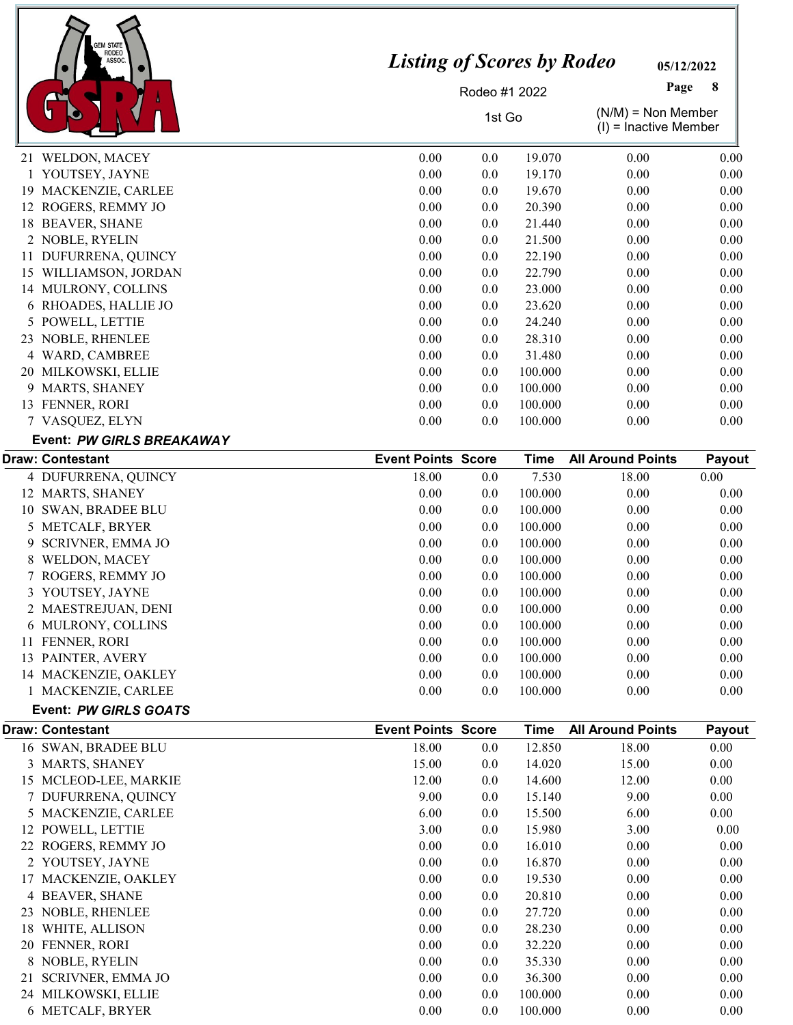| <b>GEM STATE</b>               |                                   |               |             |                                                 |          |  |
|--------------------------------|-----------------------------------|---------------|-------------|-------------------------------------------------|----------|--|
| <b>RODEO</b><br>ASSOC          | <b>Listing of Scores by Rodeo</b> | 05/12/2022    |             |                                                 |          |  |
|                                |                                   | Rodeo #1 2022 |             | Page<br>8                                       |          |  |
|                                | 1st Go                            |               |             | $(N/M)$ = Non Member<br>$(I)$ = Inactive Member |          |  |
| 21 WELDON, MACEY               | 0.00                              | 0.0           | 19.070      | 0.00                                            | 0.00     |  |
| 1 YOUTSEY, JAYNE               | 0.00                              | 0.0           | 19.170      | 0.00                                            | 0.00     |  |
| 19 MACKENZIE, CARLEE           | 0.00                              | 0.0           | 19.670      | 0.00                                            | 0.00     |  |
| 12 ROGERS, REMMY JO            | 0.00                              | 0.0           | 20.390      | 0.00                                            | 0.00     |  |
| 18 BEAVER, SHANE               | 0.00                              | 0.0           | 21.440      | 0.00                                            | 0.00     |  |
| 2 NOBLE, RYELIN                | 0.00                              | 0.0           | 21.500      | 0.00                                            | 0.00     |  |
| 11 DUFURRENA, QUINCY           | 0.00                              | 0.0           | 22.190      | 0.00                                            | 0.00     |  |
| 15 WILLIAMSON, JORDAN          | 0.00                              | 0.0           | 22.790      | 0.00                                            | 0.00     |  |
| 14 MULRONY, COLLINS            | 0.00                              | 0.0           | 23.000      | 0.00                                            | 0.00     |  |
| 6 RHOADES, HALLIE JO           | 0.00                              | 0.0           | 23.620      | 0.00                                            | 0.00     |  |
| 5 POWELL, LETTIE               | 0.00                              | 0.0           | 24.240      | 0.00                                            | 0.00     |  |
| 23 NOBLE, RHENLEE              | 0.00                              | 0.0           | 28.310      | 0.00                                            | 0.00     |  |
| 4 WARD, CAMBREE                | 0.00                              | 0.0           | 31.480      | 0.00                                            | 0.00     |  |
| 20 MILKOWSKI, ELLIE            | 0.00                              | 0.0           | 100.000     | 0.00                                            | 0.00     |  |
| 9 MARTS, SHANEY                | 0.00                              | 0.0           | 100.000     | 0.00                                            | 0.00     |  |
| 13 FENNER, RORI                | 0.00                              | 0.0           | 100.000     | 0.00                                            | 0.00     |  |
| 7 VASQUEZ, ELYN                | 0.00                              | 0.0           | 100.000     | 0.00                                            | 0.00     |  |
| Event: PW GIRLS BREAKAWAY      |                                   |               |             |                                                 |          |  |
| <b>Draw: Contestant</b>        | <b>Event Points Score</b>         |               | <b>Time</b> | <b>All Around Points</b>                        | Payout   |  |
| 4 DUFURRENA, QUINCY            | 18.00                             | 0.0           | 7.530       | 18.00                                           | 0.00     |  |
| 12 MARTS, SHANEY               | 0.00                              | 0.0           | 100.000     | 0.00                                            | 0.00     |  |
| 10 SWAN, BRADEE BLU            | 0.00                              | 0.0           | 100.000     | 0.00                                            | 0.00     |  |
| 5 METCALF, BRYER               | 0.00                              | 0.0           | 100.000     | 0.00                                            | 0.00     |  |
| <b>SCRIVNER, EMMA JO</b><br>9  | 0.00                              | 0.0           | 100.000     | 0.00                                            | 0.00     |  |
| WELDON, MACEY<br>8             | 0.00                              | 0.0           | 100.000     | 0.00                                            | 0.00     |  |
| 7 ROGERS, REMMY JO             | 0.00                              | 0.0           | 100.000     | 0.00                                            | 0.00     |  |
| 3 YOUTSEY, JAYNE               | 0.00                              | 0.0           | 100.000     | 0.00                                            | 0.00     |  |
| 2 MAESTREJUAN, DENI            | 0.00                              | 0.0           | 100.000     | 0.00                                            | 0.00     |  |
| 6 MULRONY, COLLINS             | 0.00                              | 0.0           | 100.000     | 0.00                                            | 0.00     |  |
| 11 FENNER, RORI                | 0.00                              | 0.0           | 100.000     | 0.00                                            | 0.00     |  |
| 13 PAINTER, AVERY              | 0.00                              | 0.0           | 100.000     | 0.00                                            | 0.00     |  |
| 14 MACKENZIE, OAKLEY           | 0.00                              | 0.0           | 100.000     | 0.00                                            | 0.00     |  |
| 1 MACKENZIE, CARLEE            | 0.00                              | 0.0           | 100.000     | 0.00                                            | 0.00     |  |
| Event: PW GIRLS GOATS          |                                   |               |             |                                                 |          |  |
| <b>Draw: Contestant</b>        | <b>Event Points Score</b>         |               | <b>Time</b> | <b>All Around Points</b>                        | Payout   |  |
| 16 SWAN, BRADEE BLU            | 18.00                             | 0.0           | 12.850      | 18.00                                           | $0.00\,$ |  |
| 3 MARTS, SHANEY                | 15.00                             | 0.0           | 14.020      | 15.00                                           | 0.00     |  |
| 15 MCLEOD-LEE, MARKIE          | 12.00                             | 0.0           | 14.600      | 12.00                                           | 0.00     |  |
| 7 DUFURRENA, QUINCY            | 9.00                              | 0.0           | 15.140      | 9.00                                            | 0.00     |  |
| 5 MACKENZIE, CARLEE            | 6.00                              | 0.0           | 15.500      | 6.00                                            | 0.00     |  |
| 12 POWELL, LETTIE              | 3.00                              | 0.0           | 15.980      | 3.00                                            | 0.00     |  |
| 22 ROGERS, REMMY JO            | 0.00                              | 0.0           | 16.010      | 0.00                                            | 0.00     |  |
| 2 YOUTSEY, JAYNE               | 0.00                              | 0.0           | 16.870      | 0.00                                            | 0.00     |  |
| 17 MACKENZIE, OAKLEY           | 0.00                              | 0.0           | 19.530      | 0.00                                            | 0.00     |  |
| 4 BEAVER, SHANE                | 0.00                              | 0.0           | 20.810      | 0.00                                            | 0.00     |  |
| 23 NOBLE, RHENLEE              | 0.00                              | 0.0           | 27.720      | 0.00                                            | 0.00     |  |
| 18 WHITE, ALLISON              | 0.00                              | 0.0           | 28.230      | 0.00                                            | 0.00     |  |
| 20 FENNER, RORI                | 0.00                              | 0.0           | 32.220      | 0.00                                            | 0.00     |  |
| 8 NOBLE, RYELIN                | 0.00                              | 0.0           | 35.330      | 0.00                                            | 0.00     |  |
| <b>SCRIVNER, EMMA JO</b><br>21 | 0.00                              | 0.0           | 36.300      | 0.00                                            | 0.00     |  |
|                                | 0.00                              | 0.0           | 100.000     | 0.00                                            | 0.00     |  |
| 24 MILKOWSKI, ELLIE            |                                   |               |             |                                                 |          |  |

MILKOWSKI, ELLIE 0.00 0.0 100.000 0.00 0.00

METCALF, BRYER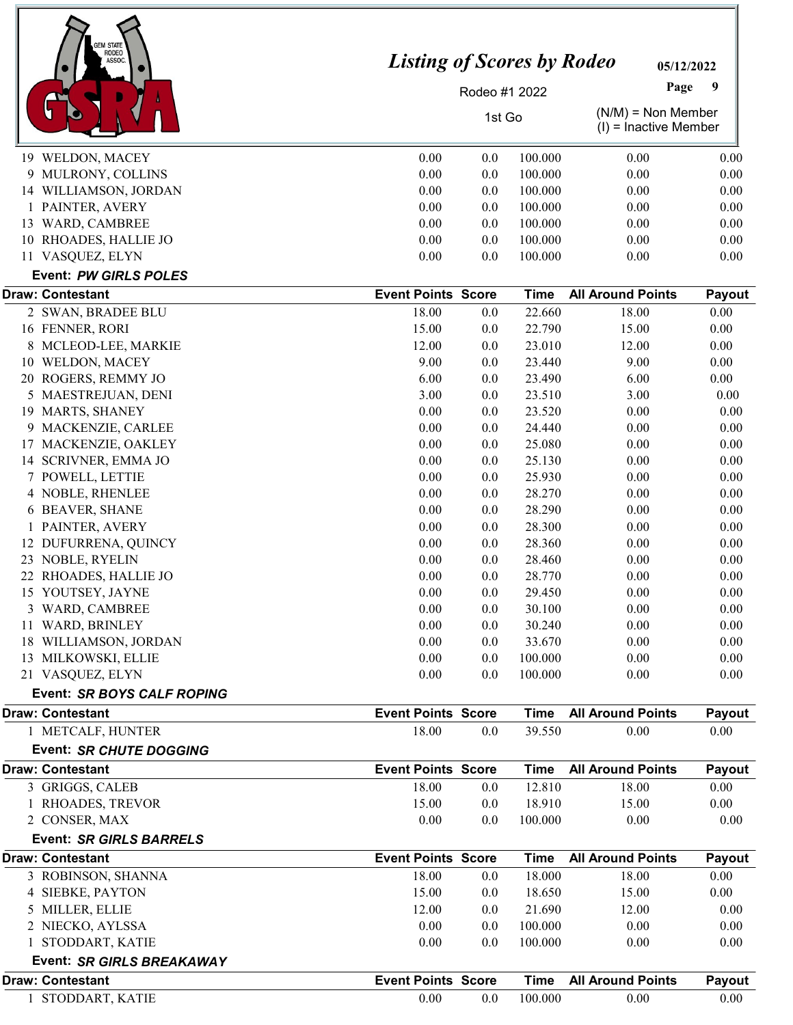| <b>GEM STATE</b><br><b>RODEO</b><br>ASSOC | <b>Listing of Scores by Rodeo</b> |               | 05/12/2022       |                          |                                                 |  |
|-------------------------------------------|-----------------------------------|---------------|------------------|--------------------------|-------------------------------------------------|--|
|                                           |                                   | Rodeo #1 2022 |                  | Page                     | 9                                               |  |
|                                           | 1st Go                            |               |                  |                          | $(N/M)$ = Non Member<br>$(I)$ = Inactive Member |  |
| 19 WELDON, MACEY                          | 0.00                              | 0.0           | 100.000          | 0.00                     | 0.00                                            |  |
| 9 MULRONY, COLLINS                        | 0.00                              | 0.0           | 100.000          | 0.00                     | 0.00                                            |  |
| 14 WILLIAMSON, JORDAN                     | 0.00                              | 0.0           | 100.000          | 0.00                     | 0.00                                            |  |
| 1 PAINTER, AVERY                          | 0.00                              | 0.0           | 100.000          | 0.00                     | 0.00                                            |  |
| 13 WARD, CAMBREE                          | 0.00                              | 0.0           | 100.000          | 0.00                     | 0.00                                            |  |
| 10 RHOADES, HALLIE JO                     | 0.00                              | 0.0           | 100.000          | 0.00                     | 0.00                                            |  |
| 11 VASQUEZ, ELYN                          | 0.00                              | 0.0           | 100.000          | 0.00                     | 0.00                                            |  |
| <b>Event: PW GIRLS POLES</b>              |                                   |               |                  |                          |                                                 |  |
| <b>Draw: Contestant</b>                   | <b>Event Points Score</b>         |               | <b>Time</b>      | <b>All Around Points</b> | Payout                                          |  |
| 2 SWAN, BRADEE BLU                        | 18.00                             | 0.0           | 22.660           | 18.00                    | $0.00\,$                                        |  |
| 16 FENNER, RORI<br>MCLEOD-LEE, MARKIE     | 15.00<br>12.00                    | 0.0           | 22.790<br>23.010 | 15.00<br>12.00           | 0.00<br>0.00                                    |  |
| 8<br>10 WELDON, MACEY                     | 9.00                              | 0.0<br>0.0    | 23.440           | 9.00                     | 0.00                                            |  |
| 20 ROGERS, REMMY JO                       | 6.00                              | 0.0           | 23.490           | 6.00                     | 0.00                                            |  |
| 5 MAESTREJUAN, DENI                       | 3.00                              | 0.0           | 23.510           | 3.00                     | 0.00                                            |  |
| 19 MARTS, SHANEY                          | 0.00                              | 0.0           | 23.520           | 0.00                     | 0.00                                            |  |
| 9 MACKENZIE, CARLEE                       | 0.00                              | 0.0           | 24.440           | 0.00                     | 0.00                                            |  |
| 17 MACKENZIE, OAKLEY                      | 0.00                              | 0.0           | 25.080           | 0.00                     | 0.00                                            |  |
| 14 SCRIVNER, EMMA JO                      | 0.00                              | 0.0           | 25.130           | 0.00                     | 0.00                                            |  |
| 7 POWELL, LETTIE                          | 0.00                              | 0.0           | 25.930           | 0.00                     | 0.00                                            |  |
| 4 NOBLE, RHENLEE                          | 0.00                              | 0.0           | 28.270           | 0.00                     | 0.00                                            |  |
| 6 BEAVER, SHANE                           | 0.00                              | 0.0           | 28.290           | 0.00                     | 0.00                                            |  |
| PAINTER, AVERY                            | 0.00                              | 0.0           | 28.300           | 0.00                     | 0.00                                            |  |
| 12 DUFURRENA, QUINCY                      | 0.00                              | 0.0           | 28.360           | 0.00                     | 0.00                                            |  |
| 23 NOBLE, RYELIN                          | 0.00                              | 0.0           | 28.460           | 0.00                     | 0.00                                            |  |
| 22 RHOADES, HALLIE JO                     | 0.00                              | 0.0           | 28.770           | 0.00                     | 0.00                                            |  |
| 15 YOUTSEY, JAYNE                         | $0.00\,$                          | 0.0           | 29.450           | 0.00                     | 0.00                                            |  |
| 3 WARD, CAMBREE<br>11 WARD, BRINLEY       | 0.00<br>0.00                      | 0.0<br>0.0    | 30.100<br>30.240 | 0.00<br>0.00             | 0.00<br>0.00                                    |  |
| 18 WILLIAMSON, JORDAN                     | 0.00                              | 0.0           | 33.670           | 0.00                     | 0.00                                            |  |
| 13 MILKOWSKI, ELLIE                       | 0.00                              | 0.0           | 100.000          | 0.00                     | 0.00                                            |  |
| 21 VASQUEZ, ELYN                          | 0.00                              | 0.0           | 100.000          | 0.00                     | 0.00                                            |  |
| Event: SR BOYS CALF ROPING                |                                   |               |                  |                          |                                                 |  |
| <b>Draw: Contestant</b>                   | <b>Event Points Score</b>         |               | <b>Time</b>      | <b>All Around Points</b> | Payout                                          |  |
| 1 METCALF, HUNTER                         | 18.00                             | 0.0           | 39.550           | 0.00                     | 0.00                                            |  |
| <b>Event: SR CHUTE DOGGING</b>            |                                   |               |                  |                          |                                                 |  |
| <b>Draw: Contestant</b>                   | <b>Event Points Score</b>         |               | <b>Time</b>      | <b>All Around Points</b> | Payout                                          |  |
| 3 GRIGGS, CALEB                           | 18.00                             | 0.0           | 12.810           | 18.00                    | 0.00                                            |  |
| 1 RHOADES, TREVOR                         | 15.00                             | 0.0           | 18.910           | 15.00                    | 0.00                                            |  |
| 2 CONSER, MAX                             | 0.00                              | 0.0           | 100.000          | 0.00                     | 0.00                                            |  |
| <b>Event: SR GIRLS BARRELS</b>            |                                   |               |                  |                          |                                                 |  |
| <b>Draw: Contestant</b>                   | <b>Event Points Score</b>         |               | <b>Time</b>      | <b>All Around Points</b> | Payout                                          |  |
| 3 ROBINSON, SHANNA                        | 18.00                             | 0.0           | 18.000           | 18.00                    | 0.00                                            |  |
| <b>SIEBKE, PAYTON</b><br>4                | 15.00                             | 0.0           | 18.650           | 15.00                    | 0.00                                            |  |
| 5 MILLER, ELLIE                           | 12.00                             | 0.0           | 21.690           | 12.00                    | 0.00                                            |  |
| 2 NIECKO, AYLSSA                          | 0.00                              | 0.0           | 100.000          | 0.00                     | 0.00                                            |  |
| 1 STODDART, KATIE                         | 0.00                              | 0.0           | 100.000          | 0.00                     | 0.00                                            |  |
| Event: SR GIRLS BREAKAWAY                 |                                   |               |                  |                          |                                                 |  |
| <b>Draw: Contestant</b>                   | <b>Event Points Score</b>         |               | <b>Time</b>      | <b>All Around Points</b> | Payout                                          |  |
| 1 STODDART, KATIE                         | 0.00                              | 0.0           | 100.000          | 0.00                     | 0.00                                            |  |

J.